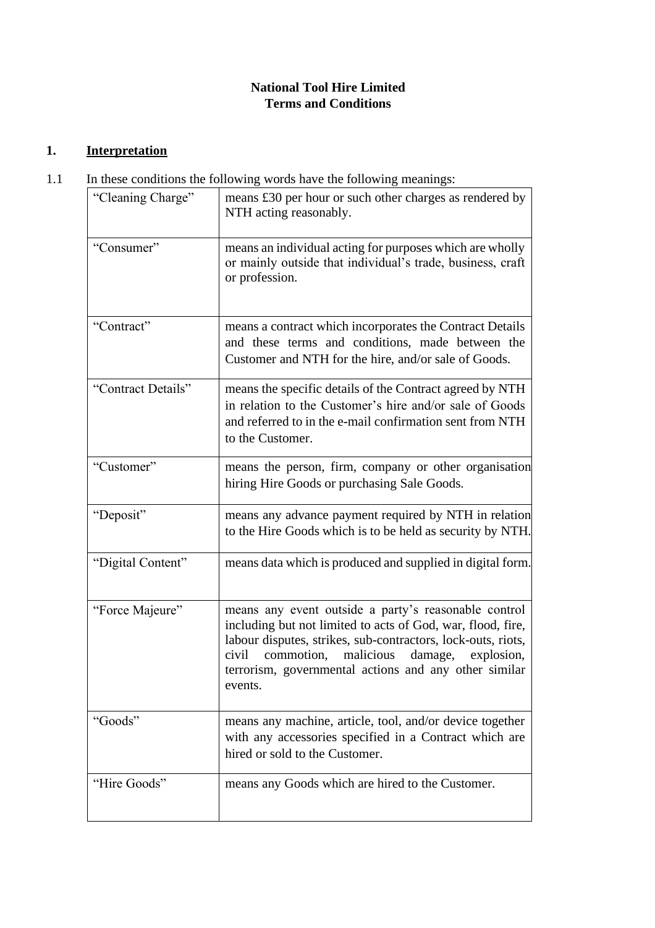# **National Tool Hire Limited Terms and Conditions**

# **1. Interpretation**

1.1 In these conditions the following words have the following meanings:

| "Cleaning Charge"  | means £30 per hour or such other charges as rendered by<br>NTH acting reasonably.                                                                                                                                                                                                                                    |  |
|--------------------|----------------------------------------------------------------------------------------------------------------------------------------------------------------------------------------------------------------------------------------------------------------------------------------------------------------------|--|
| "Consumer"         | means an individual acting for purposes which are wholly<br>or mainly outside that individual's trade, business, craft<br>or profession.                                                                                                                                                                             |  |
| "Contract"         | means a contract which incorporates the Contract Details<br>and these terms and conditions, made between the<br>Customer and NTH for the hire, and/or sale of Goods.                                                                                                                                                 |  |
| "Contract Details" | means the specific details of the Contract agreed by NTH<br>in relation to the Customer's hire and/or sale of Goods<br>and referred to in the e-mail confirmation sent from NTH<br>to the Customer.                                                                                                                  |  |
| "Customer"         | means the person, firm, company or other organisation<br>hiring Hire Goods or purchasing Sale Goods.                                                                                                                                                                                                                 |  |
| "Deposit"          | means any advance payment required by NTH in relation<br>to the Hire Goods which is to be held as security by NTH.                                                                                                                                                                                                   |  |
| "Digital Content"  | means data which is produced and supplied in digital form.                                                                                                                                                                                                                                                           |  |
| "Force Majeure"    | means any event outside a party's reasonable control<br>including but not limited to acts of God, war, flood, fire,<br>labour disputes, strikes, sub-contractors, lock-outs, riots,<br>commotion,<br>malicious<br>civil<br>damage,<br>explosion,<br>terrorism, governmental actions and any other similar<br>events. |  |
| "Goods"            | means any machine, article, tool, and/or device together<br>with any accessories specified in a Contract which are<br>hired or sold to the Customer.                                                                                                                                                                 |  |
| "Hire Goods"       | means any Goods which are hired to the Customer.                                                                                                                                                                                                                                                                     |  |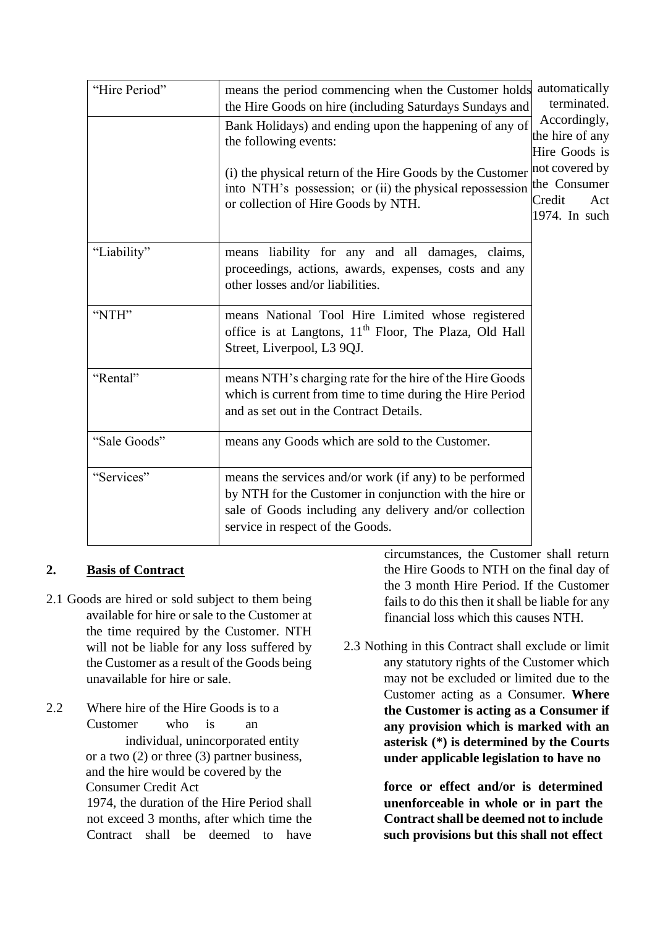| "Hire Period" | means the period commencing when the Customer holds<br>the Hire Goods on hire (including Saturdays Sundays and                                                                                                                                               | automatically<br>terminated.                                                                         |
|---------------|--------------------------------------------------------------------------------------------------------------------------------------------------------------------------------------------------------------------------------------------------------------|------------------------------------------------------------------------------------------------------|
|               | Bank Holidays) and ending upon the happening of any of<br>the following events:<br>(i) the physical return of the Hire Goods by the Customer<br>into NTH's possession; or (ii) the physical repossession the Consumer<br>or collection of Hire Goods by NTH. | Accordingly,<br>the hire of any<br>Hire Goods is<br>not covered by<br>Credit<br>Act<br>1974. In such |
| "Liability"   | means liability for any and all damages, claims,<br>proceedings, actions, awards, expenses, costs and any<br>other losses and/or liabilities.                                                                                                                |                                                                                                      |
| "NTH"         | means National Tool Hire Limited whose registered<br>office is at Langtons, 11 <sup>th</sup> Floor, The Plaza, Old Hall<br>Street, Liverpool, L3 9QJ.                                                                                                        |                                                                                                      |
| "Rental"      | means NTH's charging rate for the hire of the Hire Goods<br>which is current from time to time during the Hire Period<br>and as set out in the Contract Details.                                                                                             |                                                                                                      |
| "Sale Goods"  | means any Goods which are sold to the Customer.                                                                                                                                                                                                              |                                                                                                      |
| "Services"    | means the services and/or work (if any) to be performed<br>by NTH for the Customer in conjunction with the hire or<br>sale of Goods including any delivery and/or collection<br>service in respect of the Goods.                                             |                                                                                                      |

## **2. Basis of Contract**

- 2.1 Goods are hired or sold subject to them being available for hire or sale to the Customer at the time required by the Customer. NTH will not be liable for any loss suffered by the Customer as a result of the Goods being unavailable for hire or sale.
- 2.2 Where hire of the Hire Goods is to a Customer who is an individual, unincorporated entity or a two (2) or three (3) partner business, and the hire would be covered by the Consumer Credit Act 1974, the duration of the Hire Period shall not exceed 3 months, after which time the Contract shall be deemed to have

circumstances, the Customer shall return the Hire Goods to NTH on the final day of the 3 month Hire Period. If the Customer fails to do this then it shall be liable for any financial loss which this causes NTH.

2.3 Nothing in this Contract shall exclude or limit any statutory rights of the Customer which may not be excluded or limited due to the Customer acting as a Consumer. **Where the Customer is acting as a Consumer if any provision which is marked with an asterisk (\*) is determined by the Courts under applicable legislation to have no** 

> **force or effect and/or is determined unenforceable in whole or in part the Contract shall be deemed not to include such provisions but this shall not effect**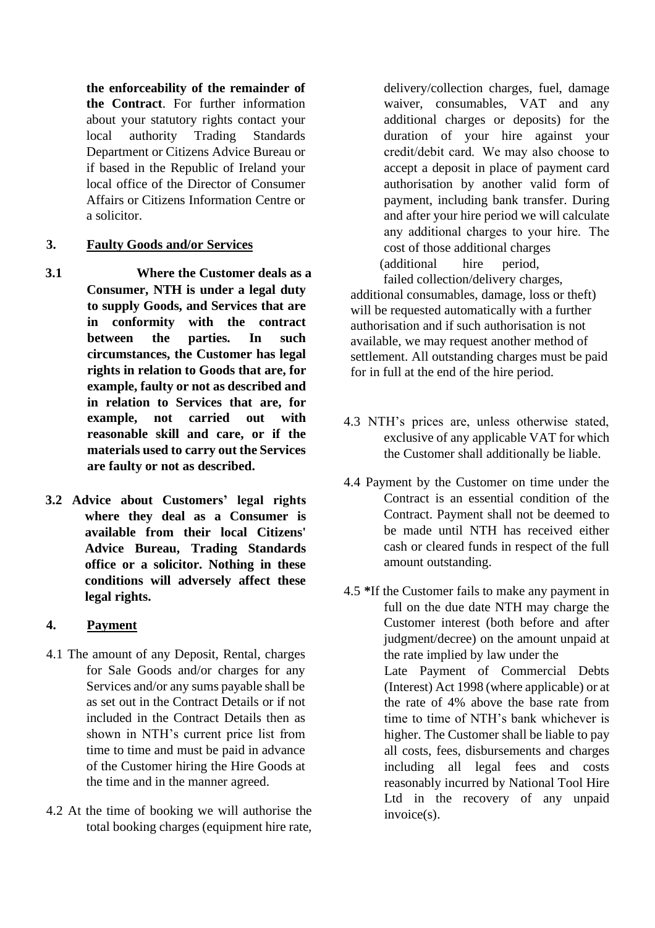**the enforceability of the remainder of the Contract**. For further information about your statutory rights contact your local authority Trading Standards Department or Citizens Advice Bureau or if based in the Republic of Ireland your local office of the Director of Consumer Affairs or Citizens Information Centre or a solicitor.

### **3. Faulty Goods and/or Services**

- **3.1 Where the Customer deals as a Consumer, NTH is under a legal duty to supply Goods, and Services that are in conformity with the contract between the parties. In such circumstances, the Customer has legal rights in relation to Goods that are, for example, faulty or not as described and in relation to Services that are, for example, not carried out with reasonable skill and care, or if the materials used to carry out the Services are faulty or not as described.**
- **3.2 Advice about Customers' legal rights where they deal as a Consumer is available from their local Citizens' Advice Bureau, Trading Standards office or a solicitor. Nothing in these conditions will adversely affect these legal rights.**

### **4. Payment**

- 4.1 The amount of any Deposit, Rental, charges for Sale Goods and/or charges for any Services and/or any sums payable shall be as set out in the Contract Details or if not included in the Contract Details then as shown in NTH's current price list from time to time and must be paid in advance of the Customer hiring the Hire Goods at the time and in the manner agreed.
- 4.2 At the time of booking we will authorise the total booking charges (equipment hire rate,

delivery/collection charges, fuel, damage waiver, consumables, VAT and any additional charges or deposits) for the duration of your hire against your credit/debit card.  We may also choose to accept a deposit in place of payment card authorisation by another valid form of payment, including bank transfer. During and after your hire period we will calculate any additional charges to your hire.  The cost of those additional charges (additional hire period,

failed collection/delivery charges, additional consumables, damage, loss or theft) will be requested automatically with a further authorisation and if such authorisation is not available, we may request another method of settlement. All outstanding charges must be paid for in full at the end of the hire period.

- 4.3 NTH's prices are, unless otherwise stated, exclusive of any applicable VAT for which the Customer shall additionally be liable.
- 4.4 Payment by the Customer on time under the Contract is an essential condition of the Contract. Payment shall not be deemed to be made until NTH has received either cash or cleared funds in respect of the full amount outstanding.
- 4.5 **\***If the Customer fails to make any payment in full on the due date NTH may charge the Customer interest (both before and after judgment/decree) on the amount unpaid at the rate implied by law under the Late Payment of Commercial Debts (Interest) Act 1998 (where applicable) or at the rate of 4% above the base rate from time to time of NTH's bank whichever is higher. The Customer shall be liable to pay all costs, fees, disbursements and charges including all legal fees and costs reasonably incurred by National Tool Hire Ltd in the recovery of any unpaid invoice(s).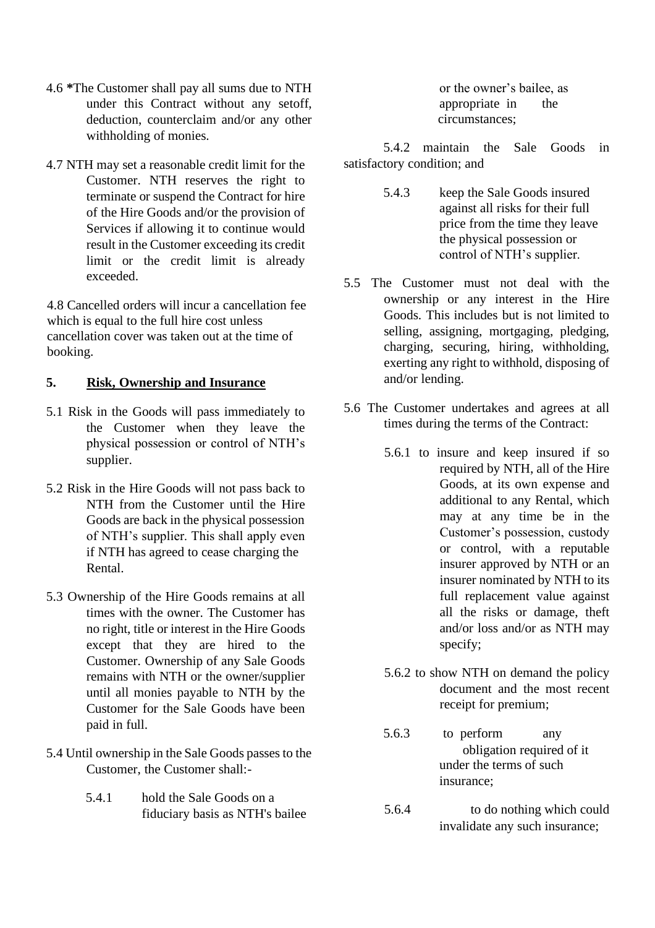- 4.6 **\***The Customer shall pay all sums due to NTH under this Contract without any setoff, deduction, counterclaim and/or any other withholding of monies.
- 4.7 NTH may set a reasonable credit limit for the Customer. NTH reserves the right to terminate or suspend the Contract for hire of the Hire Goods and/or the provision of Services if allowing it to continue would result in the Customer exceeding its credit limit or the credit limit is already exceeded.

4.8 Cancelled orders will incur a cancellation fee which is equal to the full hire cost unless cancellation cover was taken out at the time of booking.

#### **5. Risk, Ownership and Insurance**

- 5.1 Risk in the Goods will pass immediately to the Customer when they leave the physical possession or control of NTH's supplier.
- 5.2 Risk in the Hire Goods will not pass back to NTH from the Customer until the Hire Goods are back in the physical possession of NTH's supplier. This shall apply even if NTH has agreed to cease charging the Rental.
- 5.3 Ownership of the Hire Goods remains at all times with the owner. The Customer has no right, title or interest in the Hire Goods except that they are hired to the Customer. Ownership of any Sale Goods remains with NTH or the owner/supplier until all monies payable to NTH by the Customer for the Sale Goods have been paid in full.
- 5.4 Until ownership in the Sale Goods passes to the Customer, the Customer shall:-
	- 5.4.1 hold the Sale Goods on a fiduciary basis as NTH's bailee

or the owner's bailee, as appropriate in the circumstances;

5.4.2 maintain the Sale Goods in satisfactory condition; and

- 5.4.3 keep the Sale Goods insured against all risks for their full price from the time they leave the physical possession or control of NTH's supplier.
- 5.5 The Customer must not deal with the ownership or any interest in the Hire Goods. This includes but is not limited to selling, assigning, mortgaging, pledging, charging, securing, hiring, withholding, exerting any right to withhold, disposing of and/or lending.
- 5.6 The Customer undertakes and agrees at all times during the terms of the Contract:
	- 5.6.1 to insure and keep insured if so required by NTH, all of the Hire Goods, at its own expense and additional to any Rental, which may at any time be in the Customer's possession, custody or control, with a reputable insurer approved by NTH or an insurer nominated by NTH to its full replacement value against all the risks or damage, theft and/or loss and/or as NTH may specify;
	- 5.6.2 to show NTH on demand the policy document and the most recent receipt for premium;
	- 5.6.3 to perform any obligation required of it under the terms of such insurance;
	- 5.6.4 to do nothing which could invalidate any such insurance;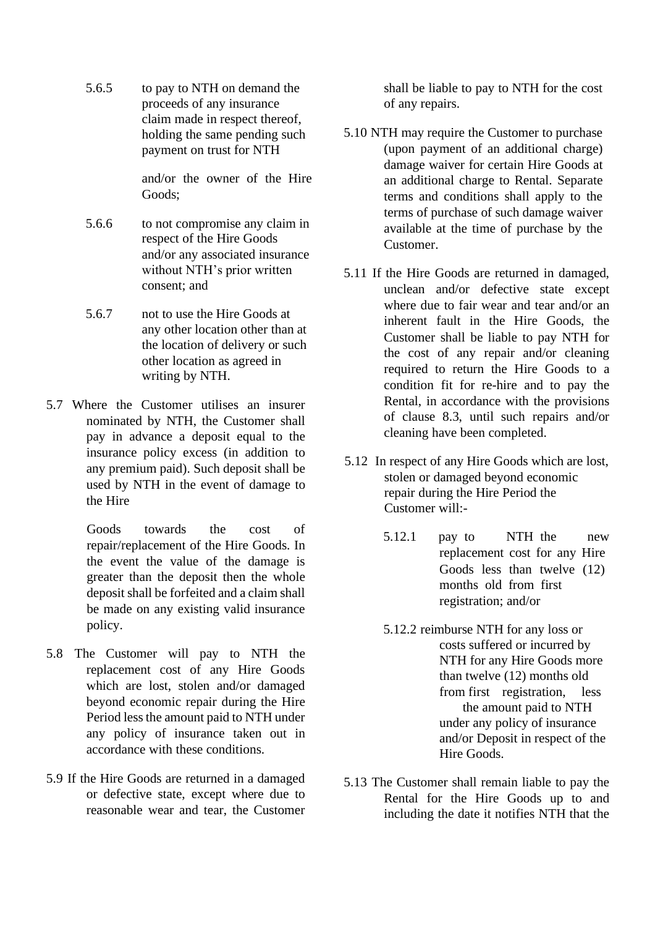5.6.5 to pay to NTH on demand the proceeds of any insurance claim made in respect thereof, holding the same pending such payment on trust for NTH

> and/or the owner of the Hire Goods;

- 5.6.6 to not compromise any claim in respect of the Hire Goods and/or any associated insurance without NTH's prior written consent; and
- 5.6.7 not to use the Hire Goods at any other location other than at the location of delivery or such other location as agreed in writing by NTH.
- 5.7 Where the Customer utilises an insurer nominated by NTH, the Customer shall pay in advance a deposit equal to the insurance policy excess (in addition to any premium paid). Such deposit shall be used by NTH in the event of damage to the Hire

Goods towards the cost of repair/replacement of the Hire Goods. In the event the value of the damage is greater than the deposit then the whole deposit shall be forfeited and a claim shall be made on any existing valid insurance policy.

- 5.8 The Customer will pay to NTH the replacement cost of any Hire Goods which are lost, stolen and/or damaged beyond economic repair during the Hire Period less the amount paid to NTH under any policy of insurance taken out in accordance with these conditions.
- 5.9 If the Hire Goods are returned in a damaged or defective state, except where due to reasonable wear and tear, the Customer

shall be liable to pay to NTH for the cost of any repairs.

- 5.10 NTH may require the Customer to purchase (upon payment of an additional charge) damage waiver for certain Hire Goods at an additional charge to Rental. Separate terms and conditions shall apply to the terms of purchase of such damage waiver available at the time of purchase by the Customer.
- 5.11 If the Hire Goods are returned in damaged, unclean and/or defective state except where due to fair wear and tear and/or an inherent fault in the Hire Goods, the Customer shall be liable to pay NTH for the cost of any repair and/or cleaning required to return the Hire Goods to a condition fit for re-hire and to pay the Rental, in accordance with the provisions of clause 8.3, until such repairs and/or cleaning have been completed.
- 5.12 In respect of any Hire Goods which are lost, stolen or damaged beyond economic repair during the Hire Period the Customer will:-
	- 5.12.1 pay to NTH the new replacement cost for any Hire Goods less than twelve (12) months old from first registration; and/or
	- 5.12.2 reimburse NTH for any loss or costs suffered or incurred by NTH for any Hire Goods more than twelve (12) months old from first registration, less the amount paid to NTH under any policy of insurance and/or Deposit in respect of the Hire Goods.
- 5.13 The Customer shall remain liable to pay the Rental for the Hire Goods up to and including the date it notifies NTH that the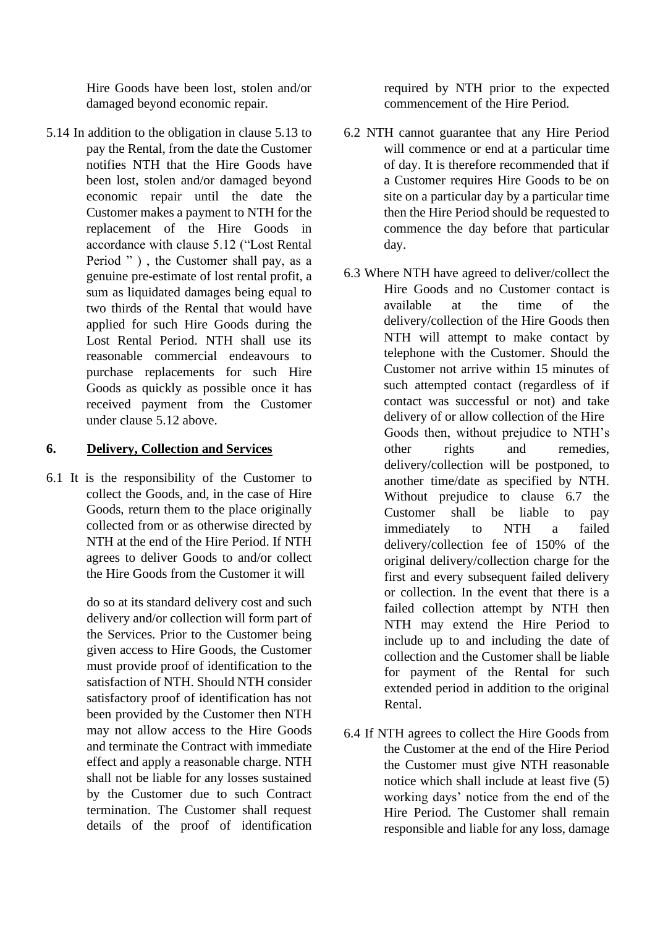Hire Goods have been lost, stolen and/or damaged beyond economic repair.

5.14 In addition to the obligation in clause 5.13 to pay the Rental, from the date the Customer notifies NTH that the Hire Goods have been lost, stolen and/or damaged beyond economic repair until the date the Customer makes a payment to NTH for the replacement of the Hire Goods in accordance with clause 5.12 ("Lost Rental Period " ), the Customer shall pay, as a genuine pre-estimate of lost rental profit, a sum as liquidated damages being equal to two thirds of the Rental that would have applied for such Hire Goods during the Lost Rental Period. NTH shall use its reasonable commercial endeavours to purchase replacements for such Hire Goods as quickly as possible once it has received payment from the Customer under clause 5.12 above.

### **6. Delivery, Collection and Services**

6.1 It is the responsibility of the Customer to collect the Goods, and, in the case of Hire Goods, return them to the place originally collected from or as otherwise directed by NTH at the end of the Hire Period. If NTH agrees to deliver Goods to and/or collect the Hire Goods from the Customer it will

> do so at its standard delivery cost and such delivery and/or collection will form part of the Services. Prior to the Customer being given access to Hire Goods, the Customer must provide proof of identification to the satisfaction of NTH. Should NTH consider satisfactory proof of identification has not been provided by the Customer then NTH may not allow access to the Hire Goods and terminate the Contract with immediate effect and apply a reasonable charge. NTH shall not be liable for any losses sustained by the Customer due to such Contract termination. The Customer shall request details of the proof of identification

required by NTH prior to the expected commencement of the Hire Period.

- 6.2 NTH cannot guarantee that any Hire Period will commence or end at a particular time of day. It is therefore recommended that if a Customer requires Hire Goods to be on site on a particular day by a particular time then the Hire Period should be requested to commence the day before that particular day.
- 6.3 Where NTH have agreed to deliver/collect the Hire Goods and no Customer contact is available at the time of the delivery/collection of the Hire Goods then NTH will attempt to make contact by telephone with the Customer. Should the Customer not arrive within 15 minutes of such attempted contact (regardless of if contact was successful or not) and take delivery of or allow collection of the Hire Goods then, without prejudice to NTH's other rights and remedies, delivery/collection will be postponed, to another time/date as specified by NTH. Without prejudice to clause 6.7 the Customer shall be liable to pay immediately to NTH a failed delivery/collection fee of 150% of the original delivery/collection charge for the first and every subsequent failed delivery or collection. In the event that there is a failed collection attempt by NTH then NTH may extend the Hire Period to include up to and including the date of collection and the Customer shall be liable for payment of the Rental for such extended period in addition to the original Rental.
- 6.4 If NTH agrees to collect the Hire Goods from the Customer at the end of the Hire Period the Customer must give NTH reasonable notice which shall include at least five (5) working days' notice from the end of the Hire Period. The Customer shall remain responsible and liable for any loss, damage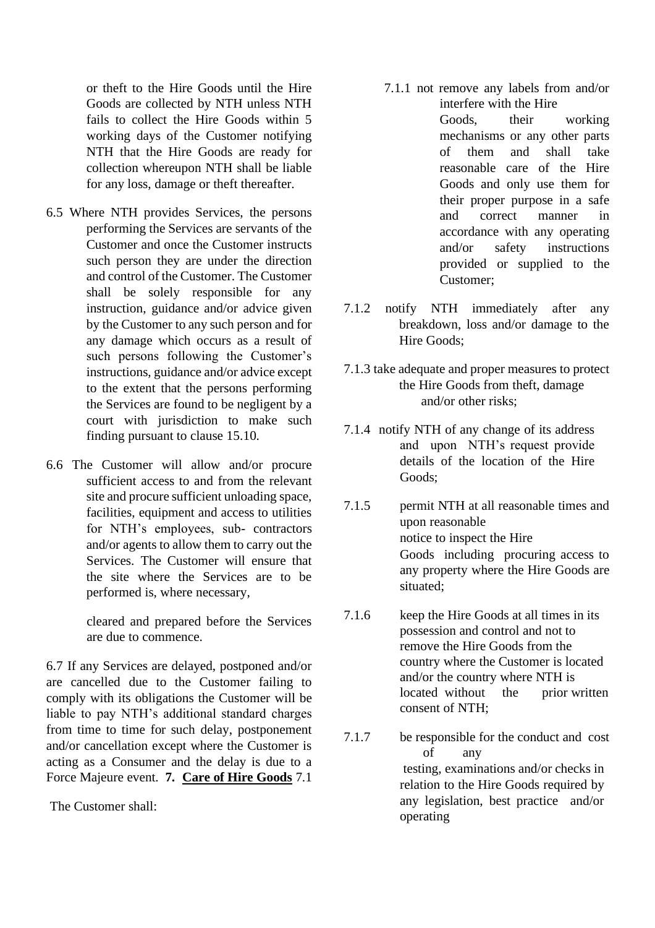or theft to the Hire Goods until the Hire Goods are collected by NTH unless NTH fails to collect the Hire Goods within 5 working days of the Customer notifying NTH that the Hire Goods are ready for collection whereupon NTH shall be liable for any loss, damage or theft thereafter.

- 6.5 Where NTH provides Services, the persons performing the Services are servants of the Customer and once the Customer instructs such person they are under the direction and control of the Customer. The Customer shall be solely responsible for any instruction, guidance and/or advice given by the Customer to any such person and for any damage which occurs as a result of such persons following the Customer's instructions, guidance and/or advice except to the extent that the persons performing the Services are found to be negligent by a court with jurisdiction to make such finding pursuant to clause 15.10.
- 6.6 The Customer will allow and/or procure sufficient access to and from the relevant site and procure sufficient unloading space, facilities, equipment and access to utilities for NTH's employees, sub- contractors and/or agents to allow them to carry out the Services. The Customer will ensure that the site where the Services are to be performed is, where necessary,

cleared and prepared before the Services are due to commence.

6.7 If any Services are delayed, postponed and/or are cancelled due to the Customer failing to comply with its obligations the Customer will be liable to pay NTH's additional standard charges from time to time for such delay, postponement and/or cancellation except where the Customer is acting as a Consumer and the delay is due to a Force Majeure event. **7. Care of Hire Goods** 7.1

The Customer shall:

- 7.1.1 not remove any labels from and/or interfere with the Hire Goods, their working mechanisms or any other parts of them and shall take reasonable care of the Hire Goods and only use them for their proper purpose in a safe and correct manner in accordance with any operating and/or safety instructions provided or supplied to the Customer;
- 7.1.2 notify NTH immediately after any breakdown, loss and/or damage to the Hire Goods;
- 7.1.3 take adequate and proper measures to protect the Hire Goods from theft, damage and/or other risks;
- 7.1.4 notify NTH of any change of its address and upon NTH's request provide details of the location of the Hire Goods;
- 7.1.5 permit NTH at all reasonable times and upon reasonable notice to inspect the Hire Goods including procuring access to any property where the Hire Goods are situated;
- 7.1.6 keep the Hire Goods at all times in its possession and control and not to remove the Hire Goods from the country where the Customer is located and/or the country where NTH is located without the prior written consent of NTH;
- 7.1.7 be responsible for the conduct and cost of any testing, examinations and/or checks in relation to the Hire Goods required by any legislation, best practice and/or operating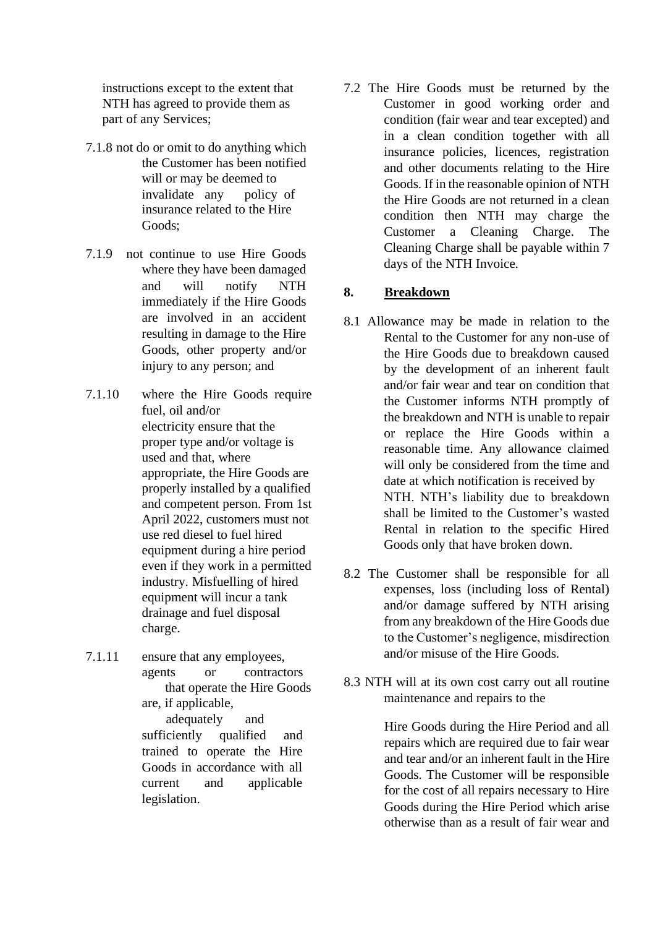instructions except to the extent that NTH has agreed to provide them as part of any Services;

- 7.1.8 not do or omit to do anything which the Customer has been notified will or may be deemed to invalidate any policy of insurance related to the Hire Goods;
- 7.1.9 not continue to use Hire Goods where they have been damaged and will notify NTH immediately if the Hire Goods are involved in an accident resulting in damage to the Hire Goods, other property and/or injury to any person; and
- 7.1.10 where the Hire Goods require fuel, oil and/or electricity ensure that the proper type and/or voltage is used and that, where appropriate, the Hire Goods are properly installed by a qualified and competent person. From 1st April 2022, customers must not use red diesel to fuel hired equipment during a hire period even if they work in a permitted industry. Misfuelling of hired equipment will incur a tank drainage and fuel disposal charge.
- 7.1.11 ensure that any employees, agents or contractors that operate the Hire Goods are, if applicable,

adequately and sufficiently qualified and trained to operate the Hire Goods in accordance with all current and applicable legislation.

7.2 The Hire Goods must be returned by the Customer in good working order and condition (fair wear and tear excepted) and in a clean condition together with all insurance policies, licences, registration and other documents relating to the Hire Goods. If in the reasonable opinion of NTH the Hire Goods are not returned in a clean condition then NTH may charge the Customer a Cleaning Charge. The Cleaning Charge shall be payable within 7 days of the NTH Invoice.

## **8. Breakdown**

- 8.1 Allowance may be made in relation to the Rental to the Customer for any non-use of the Hire Goods due to breakdown caused by the development of an inherent fault and/or fair wear and tear on condition that the Customer informs NTH promptly of the breakdown and NTH is unable to repair or replace the Hire Goods within a reasonable time. Any allowance claimed will only be considered from the time and date at which notification is received by NTH. NTH's liability due to breakdown shall be limited to the Customer's wasted Rental in relation to the specific Hired Goods only that have broken down.
- 8.2 The Customer shall be responsible for all expenses, loss (including loss of Rental) and/or damage suffered by NTH arising from any breakdown of the Hire Goods due to the Customer's negligence, misdirection and/or misuse of the Hire Goods.
- 8.3 NTH will at its own cost carry out all routine maintenance and repairs to the

Hire Goods during the Hire Period and all repairs which are required due to fair wear and tear and/or an inherent fault in the Hire Goods. The Customer will be responsible for the cost of all repairs necessary to Hire Goods during the Hire Period which arise otherwise than as a result of fair wear and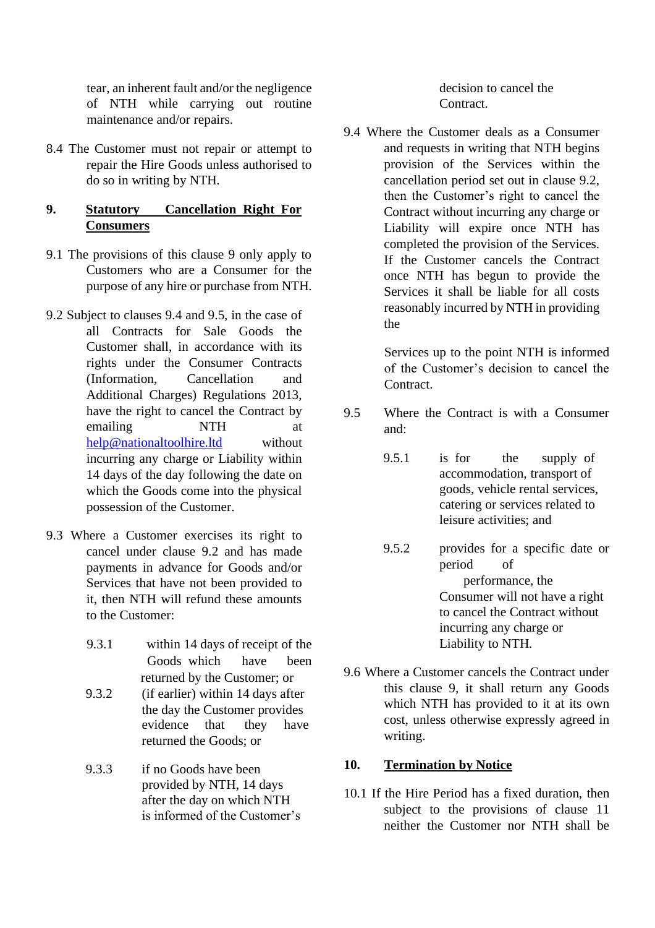tear, an inherent fault and/or the negligence of NTH while carrying out routine maintenance and/or repairs.

8.4 The Customer must not repair or attempt to repair the Hire Goods unless authorised to do so in writing by NTH.

### **9. Statutory Cancellation Right For Consumers**

- 9.1 The provisions of this clause 9 only apply to Customers who are a Consumer for the purpose of any hire or purchase from NTH.
- 9.2 Subject to clauses 9.4 and 9.5, in the case of all Contracts for Sale Goods the Customer shall, in accordance with its rights under the Consumer Contracts (Information, Cancellation and Additional Charges) Regulations 2013, have the right to cancel the Contract by emailing NTH at help@nationaltoolhire.ltd without incurring any charge or Liability within 14 days of the day following the date on which the Goods come into the physical possession of the Customer.
- 9.3 Where a Customer exercises its right to cancel under clause 9.2 and has made payments in advance for Goods and/or Services that have not been provided to it, then NTH will refund these amounts to the Customer:
	- 9.3.1 within 14 days of receipt of the Goods which have been returned by the Customer; or
	- 9.3.2 (if earlier) within 14 days after the day the Customer provides evidence that they have returned the Goods; or
	- 9.3.3 if no Goods have been provided by NTH, 14 days after the day on which NTH is informed of the Customer's

decision to cancel the Contract.

9.4 Where the Customer deals as a Consumer and requests in writing that NTH begins provision of the Services within the cancellation period set out in clause 9.2, then the Customer's right to cancel the Contract without incurring any charge or Liability will expire once NTH has completed the provision of the Services. If the Customer cancels the Contract once NTH has begun to provide the Services it shall be liable for all costs reasonably incurred by NTH in providing the

> Services up to the point NTH is informed of the Customer's decision to cancel the Contract.

- 9.5 Where the Contract is with a Consumer and:
	- 9.5.1 is for the supply of accommodation, transport of goods, vehicle rental services, catering or services related to leisure activities; and
	- 9.5.2 provides for a specific date or period of performance, the Consumer will not have a right to cancel the Contract without incurring any charge or Liability to NTH.
- 9.6 Where a Customer cancels the Contract under this clause 9, it shall return any Goods which NTH has provided to it at its own cost, unless otherwise expressly agreed in writing.

### **10. Termination by Notice**

10.1 If the Hire Period has a fixed duration, then subject to the provisions of clause 11 neither the Customer nor NTH shall be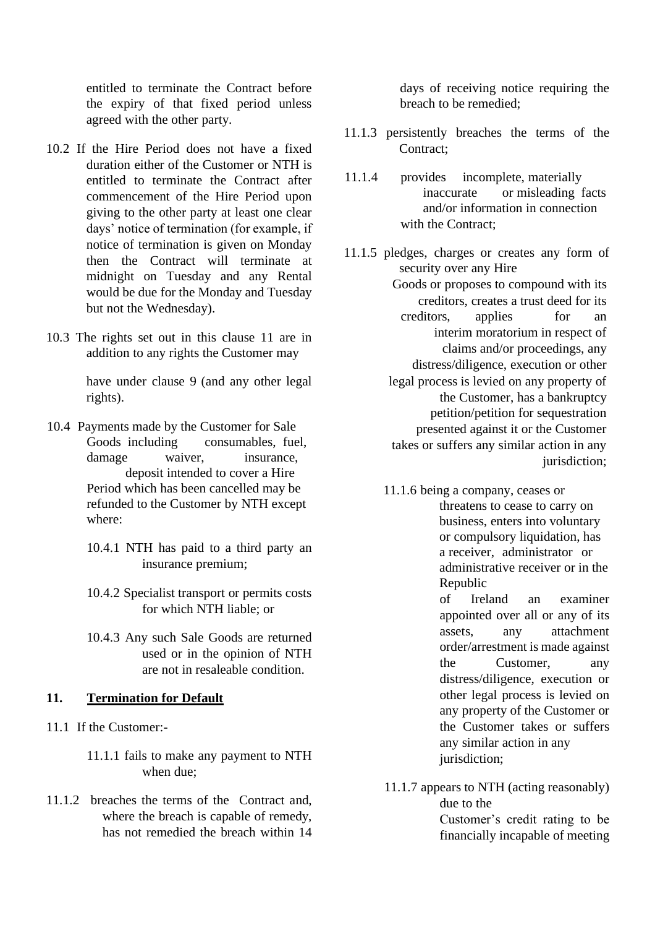entitled to terminate the Contract before the expiry of that fixed period unless agreed with the other party.

- 10.2 If the Hire Period does not have a fixed duration either of the Customer or NTH is entitled to terminate the Contract after commencement of the Hire Period upon giving to the other party at least one clear days' notice of termination (for example, if notice of termination is given on Monday then the Contract will terminate at midnight on Tuesday and any Rental would be due for the Monday and Tuesday but not the Wednesday).
- 10.3 The rights set out in this clause 11 are in addition to any rights the Customer may

have under clause 9 (and any other legal rights).

- 10.4 Payments made by the Customer for Sale Goods including consumables, fuel, damage waiver, insurance, deposit intended to cover a Hire Period which has been cancelled may be refunded to the Customer by NTH except where:
	- 10.4.1 NTH has paid to a third party an insurance premium;
	- 10.4.2 Specialist transport or permits costs for which NTH liable; or
	- 10.4.3 Any such Sale Goods are returned used or in the opinion of NTH are not in resaleable condition.

#### **11. Termination for Default**

- 11.1 If the Customer:-
	- 11.1.1 fails to make any payment to NTH when due;
- 11.1.2 breaches the terms of the Contract and, where the breach is capable of remedy, has not remedied the breach within 14

days of receiving notice requiring the breach to be remedied;

- 11.1.3 persistently breaches the terms of the Contract:
- 11.1.4 provides incomplete, materially inaccurate or misleading facts and/or information in connection with the Contract;
- 11.1.5 pledges, charges or creates any form of security over any Hire Goods or proposes to compound with its creditors, creates a trust deed for its creditors, applies for an interim moratorium in respect of claims and/or proceedings, any distress/diligence, execution or other legal process is levied on any property of the Customer, has a bankruptcy petition/petition for sequestration presented against it or the Customer takes or suffers any similar action in any jurisdiction;
	- 11.1.6 being a company, ceases or threatens to cease to carry on business, enters into voluntary or compulsory liquidation, has a receiver, administrator or administrative receiver or in the Republic

of Ireland an examiner appointed over all or any of its assets, any attachment order/arrestment is made against the Customer, any distress/diligence, execution or other legal process is levied on any property of the Customer or the Customer takes or suffers any similar action in any jurisdiction;

11.1.7 appears to NTH (acting reasonably) due to the

Customer's credit rating to be financially incapable of meeting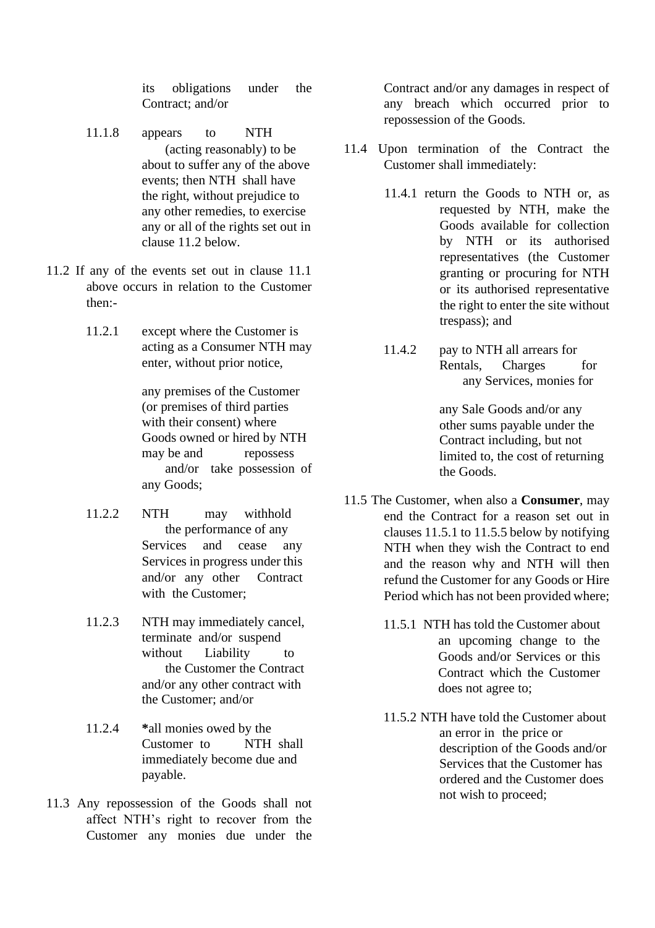its obligations under the Contract; and/or

- 11.1.8 appears to NTH (acting reasonably) to be about to suffer any of the above events; then NTH shall have the right, without prejudice to any other remedies, to exercise any or all of the rights set out in clause 11.2 below.
- 11.2 If any of the events set out in clause 11.1 above occurs in relation to the Customer then:-
	- 11.2.1 except where the Customer is acting as a Consumer NTH may enter, without prior notice,

any premises of the Customer (or premises of third parties with their consent) where Goods owned or hired by NTH may be and repossess and/or take possession of any Goods;

- 11.2.2 NTH may withhold the performance of any Services and cease any Services in progress under this and/or any other Contract with the Customer;
- 11.2.3 NTH may immediately cancel, terminate and/or suspend without Liability to the Customer the Contract and/or any other contract with the Customer; and/or
- 11.2.4 **\***all monies owed by the Customer to NTH shall immediately become due and payable.
- 11.3 Any repossession of the Goods shall not affect NTH's right to recover from the Customer any monies due under the

Contract and/or any damages in respect of any breach which occurred prior to repossession of the Goods.

- 11.4 Upon termination of the Contract the Customer shall immediately:
	- 11.4.1 return the Goods to NTH or, as requested by NTH, make the Goods available for collection by NTH or its authorised representatives (the Customer granting or procuring for NTH or its authorised representative the right to enter the site without trespass); and
	- 11.4.2 pay to NTH all arrears for Rentals, Charges for any Services, monies for

any Sale Goods and/or any other sums payable under the Contract including, but not limited to, the cost of returning the Goods.

- 11.5 The Customer, when also a **Consumer**, may end the Contract for a reason set out in clauses 11.5.1 to 11.5.5 below by notifying NTH when they wish the Contract to end and the reason why and NTH will then refund the Customer for any Goods or Hire Period which has not been provided where;
	- 11.5.1 NTH has told the Customer about an upcoming change to the Goods and/or Services or this Contract which the Customer does not agree to;
	- 11.5.2 NTH have told the Customer about an error in the price or description of the Goods and/or Services that the Customer has ordered and the Customer does not wish to proceed;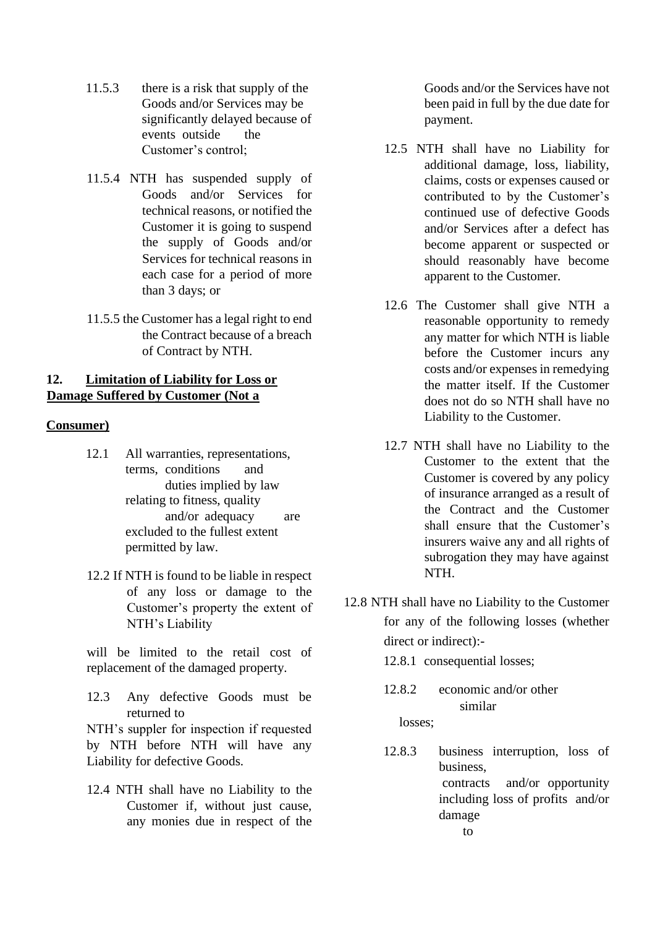- 11.5.3 there is a risk that supply of the Goods and/or Services may be significantly delayed because of events outside the Customer's control;
- 11.5.4 NTH has suspended supply of Goods and/or Services for technical reasons, or notified the Customer it is going to suspend the supply of Goods and/or Services for technical reasons in each case for a period of more than 3 days; or
- 11.5.5 the Customer has a legal right to end the Contract because of a breach of Contract by NTH.

#### **12. Limitation of Liability for Loss or Damage Suffered by Customer (Not a**

#### **Consumer)**

- 12.1 All warranties, representations, terms, conditions and duties implied by law relating to fitness, quality and/or adequacy are excluded to the fullest extent permitted by law.
- 12.2 If NTH is found to be liable in respect of any loss or damage to the Customer's property the extent of NTH's Liability

will be limited to the retail cost of replacement of the damaged property.

12.3 Any defective Goods must be returned to

NTH's suppler for inspection if requested by NTH before NTH will have any Liability for defective Goods.

12.4 NTH shall have no Liability to the Customer if, without just cause, any monies due in respect of the Goods and/or the Services have not been paid in full by the due date for payment.

- 12.5 NTH shall have no Liability for additional damage, loss, liability, claims, costs or expenses caused or contributed to by the Customer's continued use of defective Goods and/or Services after a defect has become apparent or suspected or should reasonably have become apparent to the Customer.
- 12.6 The Customer shall give NTH a reasonable opportunity to remedy any matter for which NTH is liable before the Customer incurs any costs and/or expenses in remedying the matter itself. If the Customer does not do so NTH shall have no Liability to the Customer.
- 12.7 NTH shall have no Liability to the Customer to the extent that the Customer is covered by any policy of insurance arranged as a result of the Contract and the Customer shall ensure that the Customer's insurers waive any and all rights of subrogation they may have against NTH.
- 12.8 NTH shall have no Liability to the Customer for any of the following losses (whether direct or indirect):-

12.8.1 consequential losses;

- 12.8.2 economic and/or other similar losses;
- 12.8.3 business interruption, loss of business, contracts and/or opportunity including loss of profits and/or damage to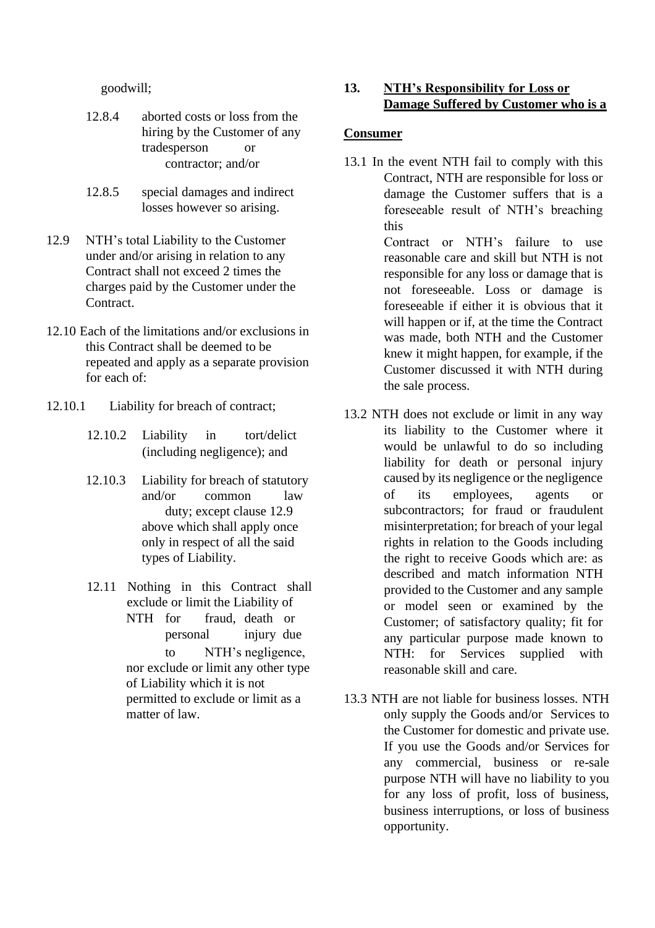goodwill;

- 12.8.4 aborted costs or loss from the hiring by the Customer of any tradesperson or contractor; and/or
- 12.8.5 special damages and indirect losses however so arising.
- 12.9 NTH's total Liability to the Customer under and/or arising in relation to any Contract shall not exceed 2 times the charges paid by the Customer under the Contract.
- 12.10 Each of the limitations and/or exclusions in this Contract shall be deemed to be repeated and apply as a separate provision for each of:
- 12.10.1 Liability for breach of contract;
	- 12.10.2 Liability in tort/delict (including negligence); and
	- 12.10.3 Liability for breach of statutory and/or common law duty; except clause 12.9 above which shall apply once only in respect of all the said types of Liability.
	- 12.11 Nothing in this Contract shall exclude or limit the Liability of NTH for fraud, death or personal injury due to NTH's negligence, nor exclude or limit any other type of Liability which it is not permitted to exclude or limit as a matter of law.

### **13. NTH's Responsibility for Loss or Damage Suffered by Customer who is a**

#### **Consumer**

- 13.1 In the event NTH fail to comply with this Contract, NTH are responsible for loss or damage the Customer suffers that is a foreseeable result of NTH's breaching this Contract or NTH's failure to use reasonable care and skill but NTH is not responsible for any loss or damage that is not foreseeable. Loss or damage is foreseeable if either it is obvious that it will happen or if, at the time the Contract was made, both NTH and the Customer knew it might happen, for example, if the Customer discussed it with NTH during the sale process.
- 13.2 NTH does not exclude or limit in any way its liability to the Customer where it would be unlawful to do so including liability for death or personal injury caused by its negligence or the negligence of its employees, agents or subcontractors; for fraud or fraudulent misinterpretation; for breach of your legal rights in relation to the Goods including the right to receive Goods which are: as described and match information NTH provided to the Customer and any sample or model seen or examined by the Customer; of satisfactory quality; fit for any particular purpose made known to NTH: for Services supplied with reasonable skill and care.
- 13.3 NTH are not liable for business losses. NTH only supply the Goods and/or Services to the Customer for domestic and private use. If you use the Goods and/or Services for any commercial, business or re-sale purpose NTH will have no liability to you for any loss of profit, loss of business, business interruptions, or loss of business opportunity.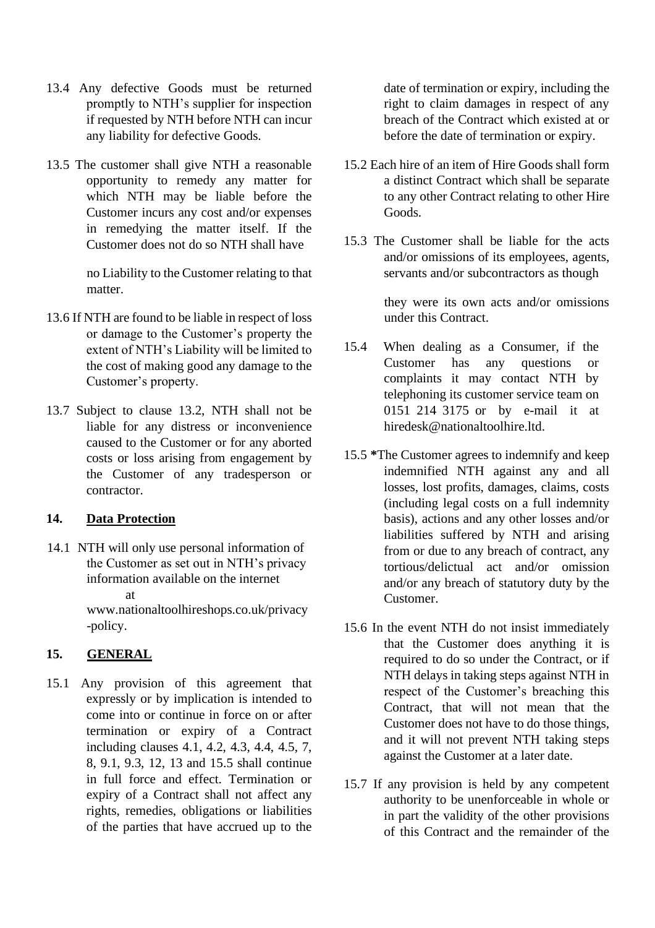- 13.4 Any defective Goods must be returned promptly to NTH's supplier for inspection if requested by NTH before NTH can incur any liability for defective Goods.
- 13.5 The customer shall give NTH a reasonable opportunity to remedy any matter for which NTH may be liable before the Customer incurs any cost and/or expenses in remedying the matter itself. If the Customer does not do so NTH shall have

no Liability to the Customer relating to that matter.

- 13.6 If NTH are found to be liable in respect of loss or damage to the Customer's property the extent of NTH's Liability will be limited to the cost of making good any damage to the Customer's property.
- 13.7 Subject to clause 13.2, NTH shall not be liable for any distress or inconvenience caused to the Customer or for any aborted costs or loss arising from engagement by the Customer of any tradesperson or contractor.

#### **14. Data Protection**

14.1 NTH will only use personal information of the Customer as set out in NTH's privacy information available on the internet at

www.nationaltoolhireshops.co.uk/privacy -policy.

## **15. GENERAL**

15.1 Any provision of this agreement that expressly or by implication is intended to come into or continue in force on or after termination or expiry of a Contract including clauses 4.1, 4.2, 4.3, 4.4, 4.5, 7, 8, 9.1, 9.3, 12, 13 and 15.5 shall continue in full force and effect. Termination or expiry of a Contract shall not affect any rights, remedies, obligations or liabilities of the parties that have accrued up to the date of termination or expiry, including the right to claim damages in respect of any breach of the Contract which existed at or before the date of termination or expiry.

- 15.2 Each hire of an item of Hire Goods shall form a distinct Contract which shall be separate to any other Contract relating to other Hire Goods.
- 15.3 The Customer shall be liable for the acts and/or omissions of its employees, agents, servants and/or subcontractors as though

they were its own acts and/or omissions under this Contract.

- 15.4 When dealing as a Consumer, if the Customer has any questions or complaints it may contact NTH by telephoning its customer service team on 0151 214 3175 or by e-mail it at hiredesk@nationaltoolhire.ltd.
- 15.5 **\***The Customer agrees to indemnify and keep indemnified NTH against any and all losses, lost profits, damages, claims, costs (including legal costs on a full indemnity basis), actions and any other losses and/or liabilities suffered by NTH and arising from or due to any breach of contract, any tortious/delictual act and/or omission and/or any breach of statutory duty by the Customer.
- 15.6 In the event NTH do not insist immediately that the Customer does anything it is required to do so under the Contract, or if NTH delays in taking steps against NTH in respect of the Customer's breaching this Contract, that will not mean that the Customer does not have to do those things, and it will not prevent NTH taking steps against the Customer at a later date.
- 15.7 If any provision is held by any competent authority to be unenforceable in whole or in part the validity of the other provisions of this Contract and the remainder of the